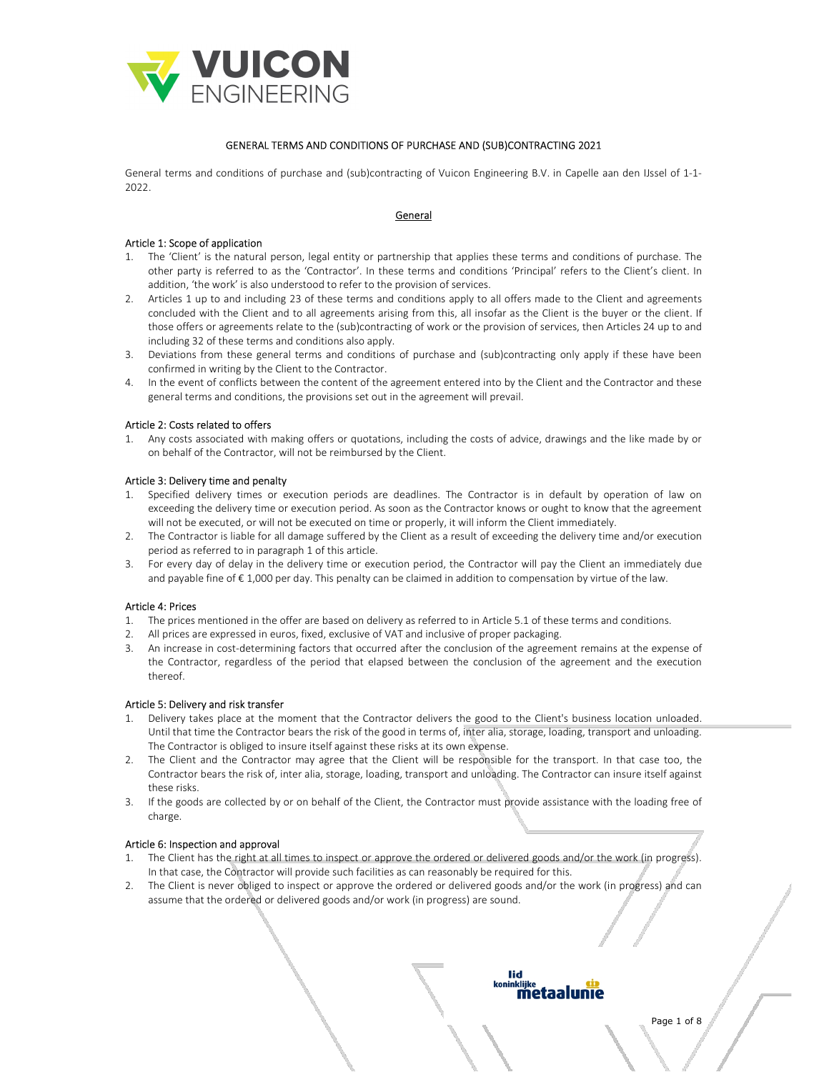

## GENERAL TERMS AND CONDITIONS OF PURCHASE AND (SUB)CONTRACTING 2021

General terms and conditions of purchase and (sub)contracting of Vuicon Engineering B.V. in Capelle aan den IJssel of 1-1- 2022.

## General

# Article 1: Scope of application

- 1. The 'Client' is the natural person, legal entity or partnership that applies these terms and conditions of purchase. The other party is referred to as the 'Contractor'. In these terms and conditions 'Principal' refers to the Client's client. In addition, 'the work' is also understood to refer to the provision of services.
- 2. Articles 1 up to and including 23 of these terms and conditions apply to all offers made to the Client and agreements concluded with the Client and to all agreements arising from this, all insofar as the Client is the buyer or the client. If those offers or agreements relate to the (sub)contracting of work or the provision of services, then Articles 24 up to and including 32 of these terms and conditions also apply.
- 3. Deviations from these general terms and conditions of purchase and (sub)contracting only apply if these have been confirmed in writing by the Client to the Contractor.
- 4. In the event of conflicts between the content of the agreement entered into by the Client and the Contractor and these general terms and conditions, the provisions set out in the agreement will prevail.

## Article 2: Costs related to offers

1. Any costs associated with making offers or quotations, including the costs of advice, drawings and the like made by or on behalf of the Contractor, will not be reimbursed by the Client.

## Article 3: Delivery time and penalty

- 1. Specified delivery times or execution periods are deadlines. The Contractor is in default by operation of law on exceeding the delivery time or execution period. As soon as the Contractor knows or ought to know that the agreement will not be executed, or will not be executed on time or properly, it will inform the Client immediately.
- 2. The Contractor is liable for all damage suffered by the Client as a result of exceeding the delivery time and/or execution period as referred to in paragraph 1 of this article.
- 3. For every day of delay in the delivery time or execution period, the Contractor will pay the Client an immediately due and payable fine of € 1,000 per day. This penalty can be claimed in addition to compensation by virtue of the law.

## Article 4: Prices

- 1. The prices mentioned in the offer are based on delivery as referred to in Article 5.1 of these terms and conditions.
- 2. All prices are expressed in euros, fixed, exclusive of VAT and inclusive of proper packaging.
- 3. An increase in cost-determining factors that occurred after the conclusion of the agreement remains at the expense of the Contractor, regardless of the period that elapsed between the conclusion of the agreement and the execution thereof.

## Article 5: Delivery and risk transfer

- 1. Delivery takes place at the moment that the Contractor delivers the good to the Client's business location unloaded. Until that time the Contractor bears the risk of the good in terms of, inter alia, storage, loading, transport and unloading. The Contractor is obliged to insure itself against these risks at its own expense.
- 2. The Client and the Contractor may agree that the Client will be responsible for the transport. In that case too, the Contractor bears the risk of, inter alia, storage, loading, transport and unloading. The Contractor can insure itself against these risks.
- 3. If the goods are collected by or on behalf of the Client, the Contractor must provide assistance with the loading free of charge.

## Article 6: Inspection and approval

- 1. The Client has the right at all times to inspect or approve the ordered or delivered goods and/or the work (in progress). In that case, the Contractor will provide such facilities as can reasonably be required for this.
- 2. The Client is never obliged to inspect or approve the ordered or delivered goods and/or the work (in progress) and can assume that the ordered or delivered goods and/or work (in progress) are sound.

#### lid inkliike metaalunie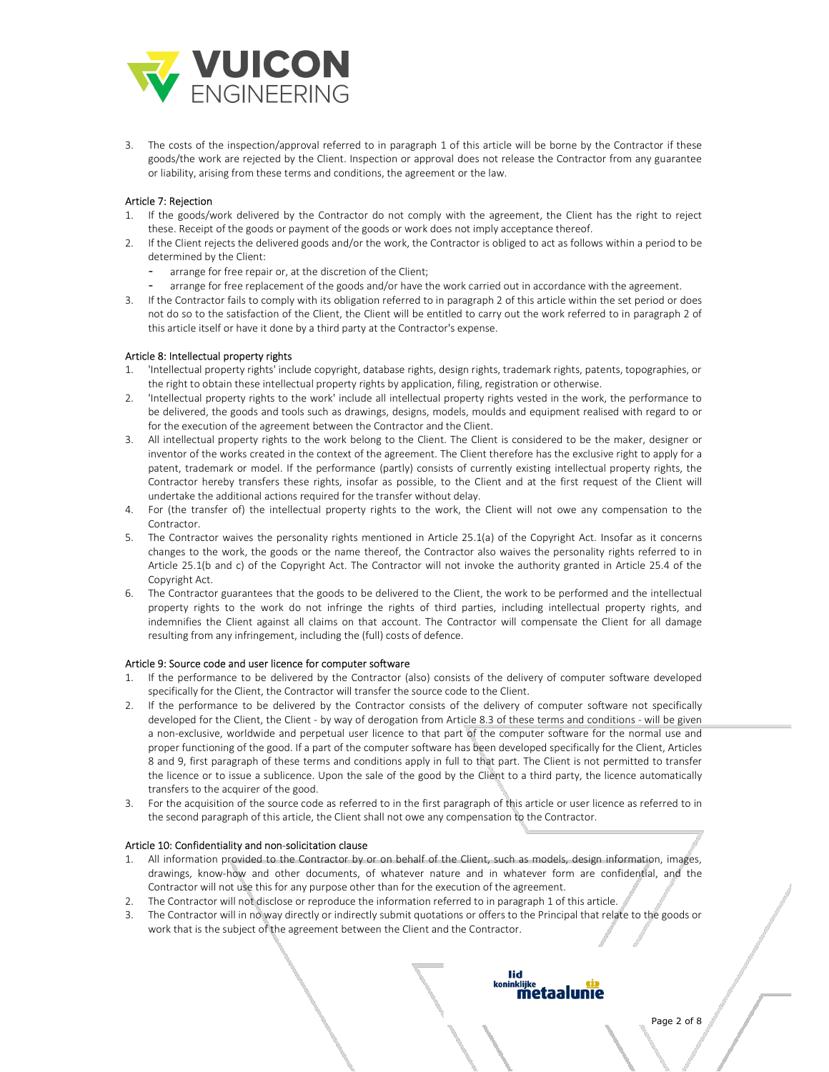

3. The costs of the inspection/approval referred to in paragraph 1 of this article will be borne by the Contractor if these goods/the work are rejected by the Client. Inspection or approval does not release the Contractor from any guarantee or liability, arising from these terms and conditions, the agreement or the law.

## Article 7: Rejection

- 1. If the goods/work delivered by the Contractor do not comply with the agreement, the Client has the right to reject these. Receipt of the goods or payment of the goods or work does not imply acceptance thereof.
- 2. If the Client rejects the delivered goods and/or the work, the Contractor is obliged to act as follows within a period to be determined by the Client:
	- arrange for free repair or, at the discretion of the Client;
	- arrange for free replacement of the goods and/or have the work carried out in accordance with the agreement.
- 3. If the Contractor fails to comply with its obligation referred to in paragraph 2 of this article within the set period or does not do so to the satisfaction of the Client, the Client will be entitled to carry out the work referred to in paragraph 2 of this article itself or have it done by a third party at the Contractor's expense.

# Article 8: Intellectual property rights

- 'Intellectual property rights' include copyright, database rights, design rights, trademark rights, patents, topographies, or the right to obtain these intellectual property rights by application, filing, registration or otherwise.
- 2. 'Intellectual property rights to the work' include all intellectual property rights vested in the work, the performance to be delivered, the goods and tools such as drawings, designs, models, moulds and equipment realised with regard to or for the execution of the agreement between the Contractor and the Client.
- 3. All intellectual property rights to the work belong to the Client. The Client is considered to be the maker, designer or inventor of the works created in the context of the agreement. The Client therefore has the exclusive right to apply for a patent, trademark or model. If the performance (partly) consists of currently existing intellectual property rights, the Contractor hereby transfers these rights, insofar as possible, to the Client and at the first request of the Client will undertake the additional actions required for the transfer without delay.
- 4. For (the transfer of) the intellectual property rights to the work, the Client will not owe any compensation to the Contractor.
- 5. The Contractor waives the personality rights mentioned in Article 25.1(a) of the Copyright Act. Insofar as it concerns changes to the work, the goods or the name thereof, the Contractor also waives the personality rights referred to in Article 25.1(b and c) of the Copyright Act. The Contractor will not invoke the authority granted in Article 25.4 of the Copyright Act.
- 6. The Contractor guarantees that the goods to be delivered to the Client, the work to be performed and the intellectual property rights to the work do not infringe the rights of third parties, including intellectual property rights, and indemnifies the Client against all claims on that account. The Contractor will compensate the Client for all damage resulting from any infringement, including the (full) costs of defence.

## Article 9: Source code and user licence for computer software

- 1. If the performance to be delivered by the Contractor (also) consists of the delivery of computer software developed specifically for the Client, the Contractor will transfer the source code to the Client.
- 2. If the performance to be delivered by the Contractor consists of the delivery of computer software not specifically developed for the Client, the Client - by way of derogation from Article 8.3 of these terms and conditions - will be given a non-exclusive, worldwide and perpetual user licence to that part of the computer software for the normal use and proper functioning of the good. If a part of the computer software has been developed specifically for the Client, Articles 8 and 9, first paragraph of these terms and conditions apply in full to that part. The Client is not permitted to transfer the licence or to issue a sublicence. Upon the sale of the good by the Client to a third party, the licence automatically transfers to the acquirer of the good.
- 3. For the acquisition of the source code as referred to in the first paragraph of this article or user licence as referred to in the second paragraph of this article, the Client shall not owe any compensation to the Contractor.

## Article 10: Confidentiality and non-solicitation clause

- 1. All information provided to the Contractor by or on behalf of the Client, such as models, design information, images, drawings, know-how and other documents, of whatever nature and in whatever form are confidential, and the Contractor will not use this for any purpose other than for the execution of the agreement.
- 2. The Contractor will not disclose or reproduce the information referred to in paragraph 1 of this article.
- 3. The Contractor will in no way directly or indirectly submit quotations or offers to the Principal that relate to the goods or work that is the subject of the agreement between the Client and the Contractor.

lid

koninklijke<br>**metaalunie**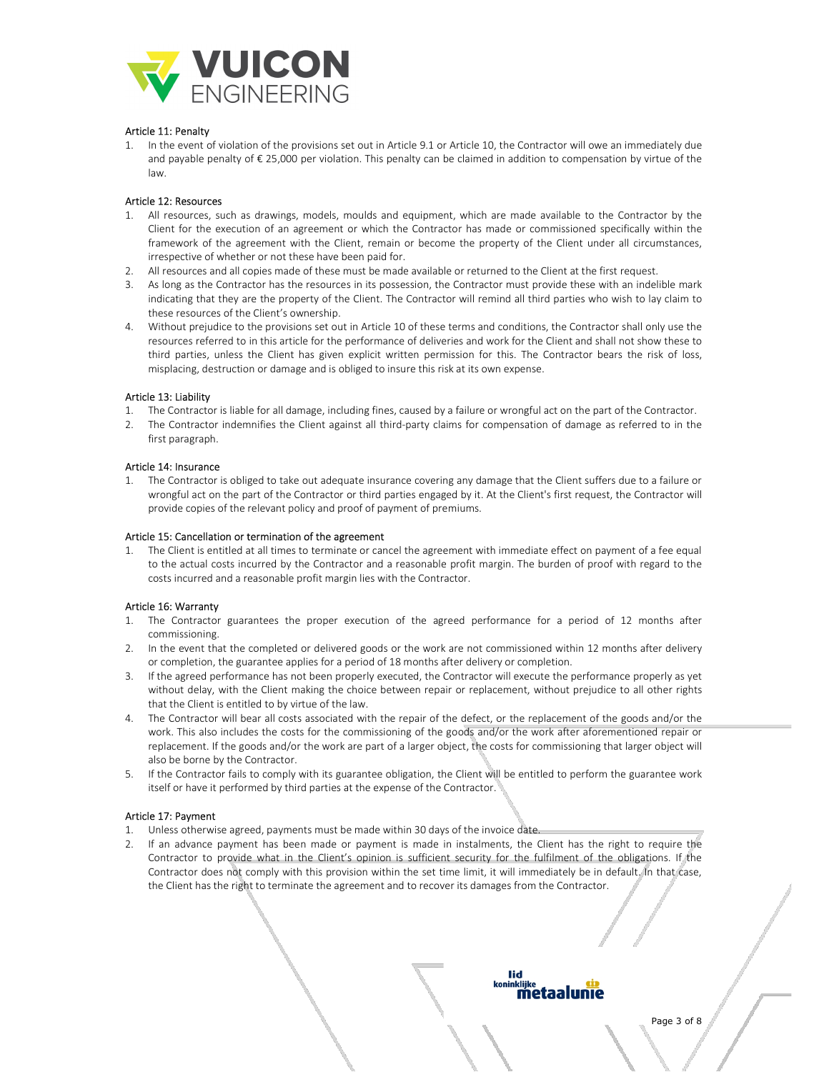

## Article 11: Penalty

1. In the event of violation of the provisions set out in Article 9.1 or Article 10, the Contractor will owe an immediately due and payable penalty of € 25,000 per violation. This penalty can be claimed in addition to compensation by virtue of the law.

## Article 12: Resources

- 1. All resources, such as drawings, models, moulds and equipment, which are made available to the Contractor by the Client for the execution of an agreement or which the Contractor has made or commissioned specifically within the framework of the agreement with the Client, remain or become the property of the Client under all circumstances, irrespective of whether or not these have been paid for.
- 2. All resources and all copies made of these must be made available or returned to the Client at the first request.
- 3. As long as the Contractor has the resources in its possession, the Contractor must provide these with an indelible mark indicating that they are the property of the Client. The Contractor will remind all third parties who wish to lay claim to these resources of the Client's ownership.
- 4. Without prejudice to the provisions set out in Article 10 of these terms and conditions, the Contractor shall only use the resources referred to in this article for the performance of deliveries and work for the Client and shall not show these to third parties, unless the Client has given explicit written permission for this. The Contractor bears the risk of loss, misplacing, destruction or damage and is obliged to insure this risk at its own expense.

#### Article 13: Liability

- 1. The Contractor is liable for all damage, including fines, caused by a failure or wrongful act on the part of the Contractor.
- 2. The Contractor indemnifies the Client against all third-party claims for compensation of damage as referred to in the first paragraph.

#### Article 14: Insurance

1. The Contractor is obliged to take out adequate insurance covering any damage that the Client suffers due to a failure or wrongful act on the part of the Contractor or third parties engaged by it. At the Client's first request, the Contractor will provide copies of the relevant policy and proof of payment of premiums.

#### Article 15: Cancellation or termination of the agreement

1. The Client is entitled at all times to terminate or cancel the agreement with immediate effect on payment of a fee equal to the actual costs incurred by the Contractor and a reasonable profit margin. The burden of proof with regard to the costs incurred and a reasonable profit margin lies with the Contractor.

## Article 16: Warranty

- 1. The Contractor guarantees the proper execution of the agreed performance for a period of 12 months after commissioning.
- 2. In the event that the completed or delivered goods or the work are not commissioned within 12 months after delivery or completion, the guarantee applies for a period of 18 months after delivery or completion.
- 3. If the agreed performance has not been properly executed, the Contractor will execute the performance properly as yet without delay, with the Client making the choice between repair or replacement, without prejudice to all other rights that the Client is entitled to by virtue of the law.
- 4. The Contractor will bear all costs associated with the repair of the defect, or the replacement of the goods and/or the work. This also includes the costs for the commissioning of the goods and/or the work after aforementioned repair or replacement. If the goods and/or the work are part of a larger object, the costs for commissioning that larger object will also be borne by the Contractor.
- 5. If the Contractor fails to comply with its guarantee obligation, the Client will be entitled to perform the guarantee work itself or have it performed by third parties at the expense of the Contractor.

## Article 17: Payment

- 1. Unless otherwise agreed, payments must be made within 30 days of the invoice date.
- 2. If an advance payment has been made or payment is made in instalments, the Client has the right to require the Contractor to provide what in the Client's opinion is sufficient security for the fulfilment of the obligations. If the Contractor does not comply with this provision within the set time limit, it will immediately be in default. In that case, the Client has the right to terminate the agreement and to recover its damages from the Contractor.

#### inklijke metaalunie

lid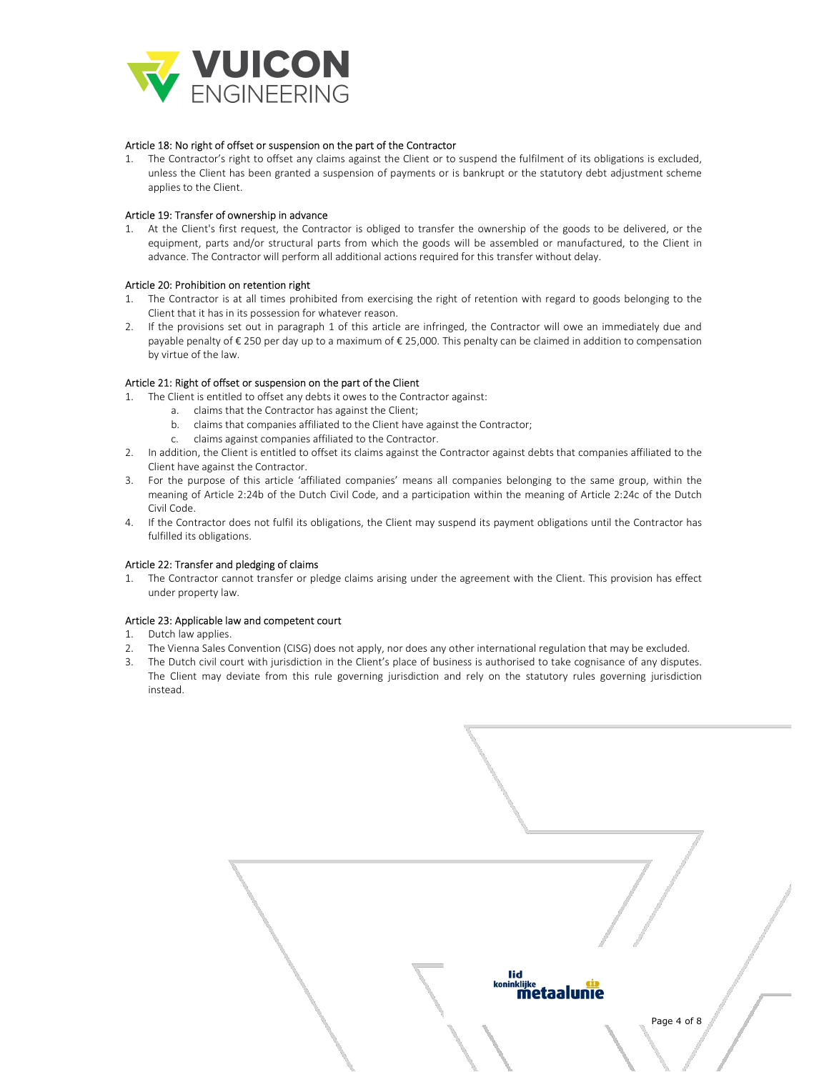

#### Article 18: No right of offset or suspension on the part of the Contractor

1. The Contractor's right to offset any claims against the Client or to suspend the fulfilment of its obligations is excluded, unless the Client has been granted a suspension of payments or is bankrupt or the statutory debt adjustment scheme applies to the Client.

## Article 19: Transfer of ownership in advance

1. At the Client's first request, the Contractor is obliged to transfer the ownership of the goods to be delivered, or the equipment, parts and/or structural parts from which the goods will be assembled or manufactured, to the Client in advance. The Contractor will perform all additional actions required for this transfer without delay.

#### Article 20: Prohibition on retention right

- 1. The Contractor is at all times prohibited from exercising the right of retention with regard to goods belonging to the Client that it has in its possession for whatever reason.
- 2. If the provisions set out in paragraph 1 of this article are infringed, the Contractor will owe an immediately due and payable penalty of € 250 per day up to a maximum of € 25,000. This penalty can be claimed in addition to compensation by virtue of the law.

#### Article 21: Right of offset or suspension on the part of the Client

- 1. The Client is entitled to offset any debts it owes to the Contractor against:
	- a. claims that the Contractor has against the Client;
	- b. claims that companies affiliated to the Client have against the Contractor;
	- c. claims against companies affiliated to the Contractor.
- 2. In addition, the Client is entitled to offset its claims against the Contractor against debts that companies affiliated to the Client have against the Contractor.
- 3. For the purpose of this article 'affiliated companies' means all companies belonging to the same group, within the meaning of Article 2:24b of the Dutch Civil Code, and a participation within the meaning of Article 2:24c of the Dutch Civil Code.
- 4. If the Contractor does not fulfil its obligations, the Client may suspend its payment obligations until the Contractor has fulfilled its obligations.

#### Article 22: Transfer and pledging of claims

1. The Contractor cannot transfer or pledge claims arising under the agreement with the Client. This provision has effect under property law.

# Article 23: Applicable law and competent court

- 1. Dutch law applies.
- 2. The Vienna Sales Convention (CISG) does not apply, nor does any other international regulation that may be excluded.
- 3. The Dutch civil court with jurisdiction in the Client's place of business is authorised to take cognisance of any disputes. The Client may deviate from this rule governing jurisdiction and rely on the statutory rules governing jurisdiction instead.

| lid<br><sup>koninklijke</sup><br><b>Metaalunie</b> | Page 4 of 8 |
|----------------------------------------------------|-------------|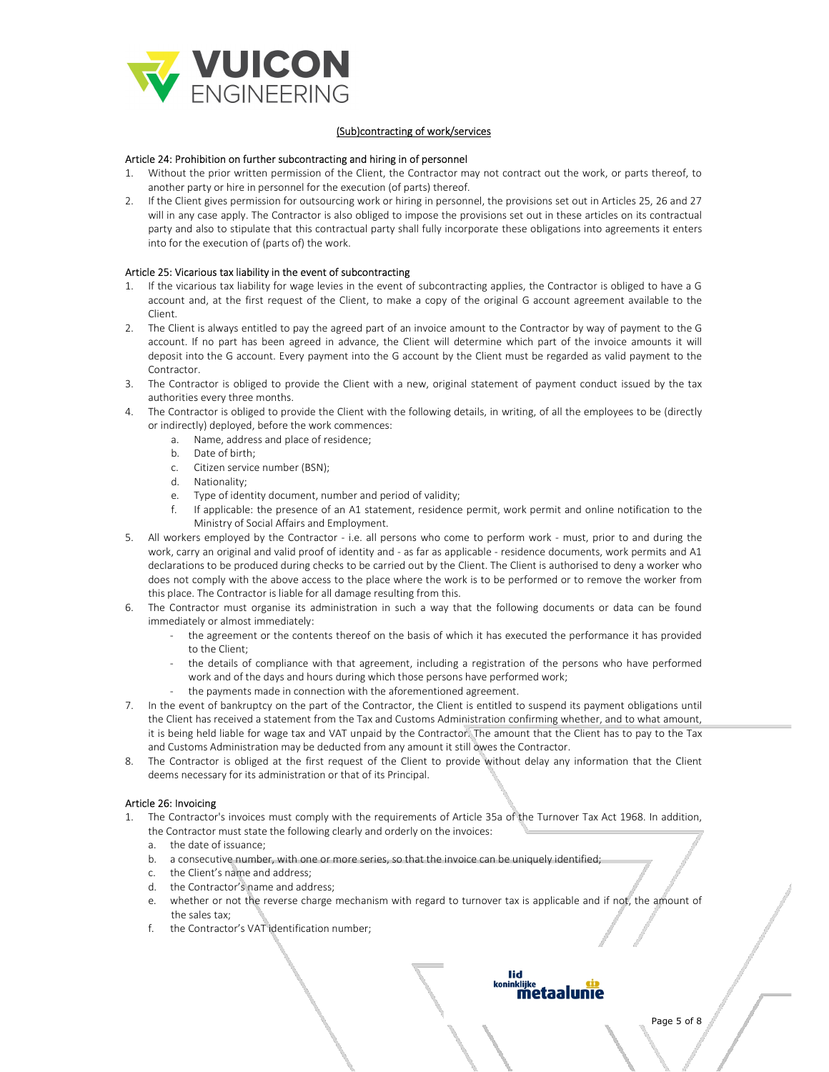

# (Sub)contracting of work/services

## Article 24: Prohibition on further subcontracting and hiring in of personnel

- 1. Without the prior written permission of the Client, the Contractor may not contract out the work, or parts thereof, to another party or hire in personnel for the execution (of parts) thereof.
- 2. If the Client gives permission for outsourcing work or hiring in personnel, the provisions set out in Articles 25, 26 and 27 will in any case apply. The Contractor is also obliged to impose the provisions set out in these articles on its contractual party and also to stipulate that this contractual party shall fully incorporate these obligations into agreements it enters into for the execution of (parts of) the work.

## Article 25: Vicarious tax liability in the event of subcontracting

- If the vicarious tax liability for wage levies in the event of subcontracting applies, the Contractor is obliged to have a G account and, at the first request of the Client, to make a copy of the original G account agreement available to the Client.
- 2. The Client is always entitled to pay the agreed part of an invoice amount to the Contractor by way of payment to the G account. If no part has been agreed in advance, the Client will determine which part of the invoice amounts it will deposit into the G account. Every payment into the G account by the Client must be regarded as valid payment to the Contractor.
- 3. The Contractor is obliged to provide the Client with a new, original statement of payment conduct issued by the tax authorities every three months.
- 4. The Contractor is obliged to provide the Client with the following details, in writing, of all the employees to be (directly or indirectly) deployed, before the work commences:
	- a. Name, address and place of residence;
	- b. Date of birth;
	- c. Citizen service number (BSN);
	- d. Nationality;
	- e. Type of identity document, number and period of validity;
	- f. If applicable: the presence of an A1 statement, residence permit, work permit and online notification to the Ministry of Social Affairs and Employment.
- 5. All workers employed by the Contractor i.e. all persons who come to perform work must, prior to and during the work, carry an original and valid proof of identity and - as far as applicable - residence documents, work permits and A1 declarations to be produced during checks to be carried out by the Client. The Client is authorised to deny a worker who does not comply with the above access to the place where the work is to be performed or to remove the worker from this place. The Contractor is liable for all damage resulting from this.
- 6. The Contractor must organise its administration in such a way that the following documents or data can be found immediately or almost immediately:
	- the agreement or the contents thereof on the basis of which it has executed the performance it has provided to the Client;
	- the details of compliance with that agreement, including a registration of the persons who have performed work and of the days and hours during which those persons have performed work;
	- the payments made in connection with the aforementioned agreement.
- 7. In the event of bankruptcy on the part of the Contractor, the Client is entitled to suspend its payment obligations until the Client has received a statement from the Tax and Customs Administration confirming whether, and to what amount, it is being held liable for wage tax and VAT unpaid by the Contractor. The amount that the Client has to pay to the Tax and Customs Administration may be deducted from any amount it still owes the Contractor.
- 8. The Contractor is obliged at the first request of the Client to provide without delay any information that the Client deems necessary for its administration or that of its Principal.

## Article 26: Invoicing

- 1. The Contractor's invoices must comply with the requirements of Article 35a of the Turnover Tax Act 1968. In addition, the Contractor must state the following clearly and orderly on the invoices:
	- a. the date of issuance;
	- b. a consecutive number, with one or more series, so that the invoice can be uniquely identified;
	- c. the Client's name and address;
	- d. the Contractor's name and address;
	- e. whether or not the reverse charge mechanism with regard to turnover tax is applicable and if not, the amount of the sales tax;
	- f. the Contractor's VAT identification number;

#### lid ıinkliike metaalunie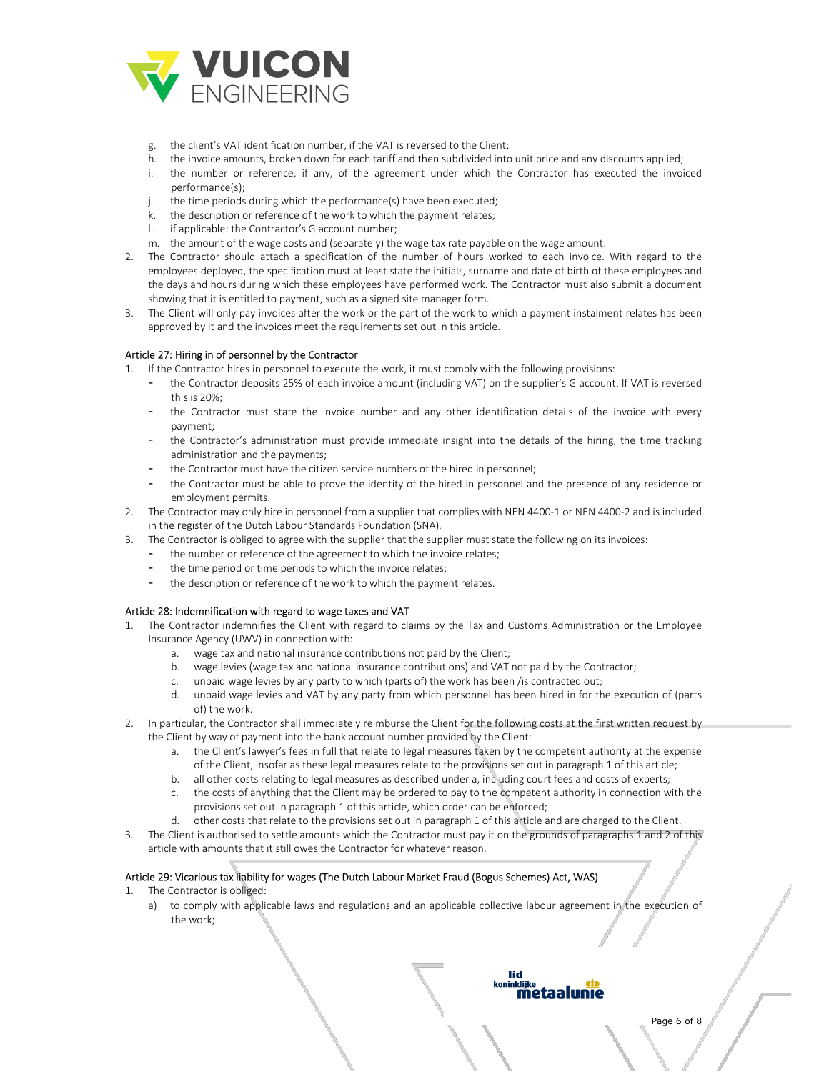

- g. the client's VAT identification number, if the VAT is reversed to the Client;
- h. the invoice amounts, broken down for each tariff and then subdivided into unit price and any discounts applied;
- i. the number or reference, if any, of the agreement under which the Contractor has executed the invoiced performance(s);
- j. the time periods during which the performance(s) have been executed;
- k. the description or reference of the work to which the payment relates;
- if applicable: the Contractor's G account number;
- m. the amount of the wage costs and (separately) the wage tax rate payable on the wage amount.
- 2. The Contractor should attach a specification of the number of hours worked to each invoice. With regard to the employees deployed, the specification must at least state the initials, surname and date of birth of these employees and the days and hours during which these employees have performed work. The Contractor must also submit a document showing that it is entitled to payment, such as a signed site manager form.
- 3. The Client will only pay invoices after the work or the part of the work to which a payment instalment relates has been approved by it and the invoices meet the requirements set out in this article.

#### Article 27: Hiring in of personnel by the Contractor

- 1. If the Contractor hires in personnel to execute the work, it must comply with the following provisions:
	- the Contractor deposits 25% of each invoice amount (including VAT) on the supplier's G account. If VAT is reversed this is 20%;
	- the Contractor must state the invoice number and any other identification details of the invoice with every payment;
	- the Contractor's administration must provide immediate insight into the details of the hiring, the time tracking administration and the payments;
	- the Contractor must have the citizen service numbers of the hired in personnel;
	- the Contractor must be able to prove the identity of the hired in personnel and the presence of any residence or employment permits.
- 2. The Contractor may only hire in personnel from a supplier that complies with NEN 4400-1 or NEN 4400-2 and is included in the register of the Dutch Labour Standards Foundation (SNA).
- 3. The Contractor is obliged to agree with the supplier that the supplier must state the following on its invoices:
	- the number or reference of the agreement to which the invoice relates;
	- the time period or time periods to which the invoice relates:
	- the description or reference of the work to which the payment relates.

## Article 28: Indemnification with regard to wage taxes and VAT

- 1. The Contractor indemnifies the Client with regard to claims by the Tax and Customs Administration or the Employee Insurance Agency (UWV) in connection with:
	- a. wage tax and national insurance contributions not paid by the Client;
	- b. wage levies (wage tax and national insurance contributions) and VAT not paid by the Contractor;
	- c. unpaid wage levies by any party to which (parts of) the work has been /is contracted out;
	- d. unpaid wage levies and VAT by any party from which personnel has been hired in for the execution of (parts of) the work.
- 2. In particular, the Contractor shall immediately reimburse the Client for the following costs at the first written request by the Client by way of payment into the bank account number provided by the Client:
	- a. the Client's lawyer's fees in full that relate to legal measures taken by the competent authority at the expense of the Client, insofar as these legal measures relate to the provisions set out in paragraph 1 of this article;
	- b. all other costs relating to legal measures as described under a, including court fees and costs of experts;
	- c. the costs of anything that the Client may be ordered to pay to the competent authority in connection with the provisions set out in paragraph 1 of this article, which order can be enforced;
	- d. other costs that relate to the provisions set out in paragraph 1 of this article and are charged to the Client.
- 3. The Client is authorised to settle amounts which the Contractor must pay it on the grounds of paragraphs 1 and 2 of this article with amounts that it still owes the Contractor for whatever reason.

# Article 29: Vicarious tax liability for wages (The Dutch Labour Market Fraud (Bogus Schemes) Act, WAS)

- 1. The Contractor is obliged:
	- a) to comply with applicable laws and regulations and an applicable collective labour agreement in the execution of the work;

# lid ninklijke<br>**metaalunie**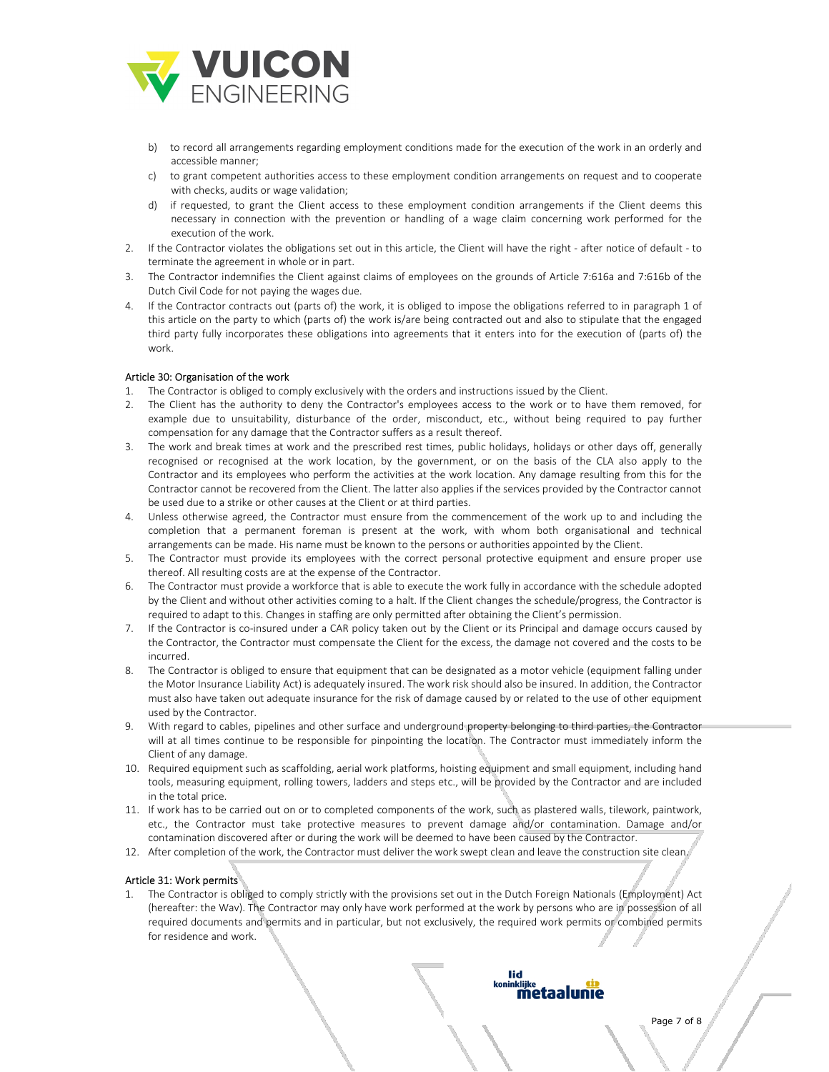

- b) to record all arrangements regarding employment conditions made for the execution of the work in an orderly and accessible manner;
- c) to grant competent authorities access to these employment condition arrangements on request and to cooperate with checks, audits or wage validation;
- d) if requested, to grant the Client access to these employment condition arrangements if the Client deems this necessary in connection with the prevention or handling of a wage claim concerning work performed for the execution of the work.
- 2. If the Contractor violates the obligations set out in this article, the Client will have the right after notice of default to terminate the agreement in whole or in part.
- 3. The Contractor indemnifies the Client against claims of employees on the grounds of Article 7:616a and 7:616b of the Dutch Civil Code for not paying the wages due.
- 4. If the Contractor contracts out (parts of) the work, it is obliged to impose the obligations referred to in paragraph 1 of this article on the party to which (parts of) the work is/are being contracted out and also to stipulate that the engaged third party fully incorporates these obligations into agreements that it enters into for the execution of (parts of) the work.

## Article 30: Organisation of the work

- 1. The Contractor is obliged to comply exclusively with the orders and instructions issued by the Client.
- 2. The Client has the authority to deny the Contractor's employees access to the work or to have them removed, for example due to unsuitability, disturbance of the order, misconduct, etc., without being required to pay further compensation for any damage that the Contractor suffers as a result thereof.
- 3. The work and break times at work and the prescribed rest times, public holidays, holidays or other days off, generally recognised or recognised at the work location, by the government, or on the basis of the CLA also apply to the Contractor and its employees who perform the activities at the work location. Any damage resulting from this for the Contractor cannot be recovered from the Client. The latter also applies if the services provided by the Contractor cannot be used due to a strike or other causes at the Client or at third parties.
- 4. Unless otherwise agreed, the Contractor must ensure from the commencement of the work up to and including the completion that a permanent foreman is present at the work, with whom both organisational and technical arrangements can be made. His name must be known to the persons or authorities appointed by the Client.
- 5. The Contractor must provide its employees with the correct personal protective equipment and ensure proper use thereof. All resulting costs are at the expense of the Contractor.
- 6. The Contractor must provide a workforce that is able to execute the work fully in accordance with the schedule adopted by the Client and without other activities coming to a halt. If the Client changes the schedule/progress, the Contractor is required to adapt to this. Changes in staffing are only permitted after obtaining the Client's permission.
- 7. If the Contractor is co-insured under a CAR policy taken out by the Client or its Principal and damage occurs caused by the Contractor, the Contractor must compensate the Client for the excess, the damage not covered and the costs to be incurred.
- 8. The Contractor is obliged to ensure that equipment that can be designated as a motor vehicle (equipment falling under the Motor Insurance Liability Act) is adequately insured. The work risk should also be insured. In addition, the Contractor must also have taken out adequate insurance for the risk of damage caused by or related to the use of other equipment used by the Contractor.
- 9. With regard to cables, pipelines and other surface and underground property belonging to third parties, the Contractor will at all times continue to be responsible for pinpointing the location. The Contractor must immediately inform the Client of any damage.
- 10. Required equipment such as scaffolding, aerial work platforms, hoisting equipment and small equipment, including hand tools, measuring equipment, rolling towers, ladders and steps etc., will be provided by the Contractor and are included in the total price.
- 11. If work has to be carried out on or to completed components of the work, such as plastered walls, tilework, paintwork, etc., the Contractor must take protective measures to prevent damage and/or contamination. Damage and/or contamination discovered after or during the work will be deemed to have been caused by the Contractor.
- 12. After completion of the work, the Contractor must deliver the work swept clean and leave the construction site clean.

# Article 31: Work permits

1. The Contractor is obliged to comply strictly with the provisions set out in the Dutch Foreign Nationals (Employment) Act (hereafter: the Wav). The Contractor may only have work performed at the work by persons who are in possession of all required documents and permits and in particular, but not exclusively, the required work permits or combined permits for residence and work.